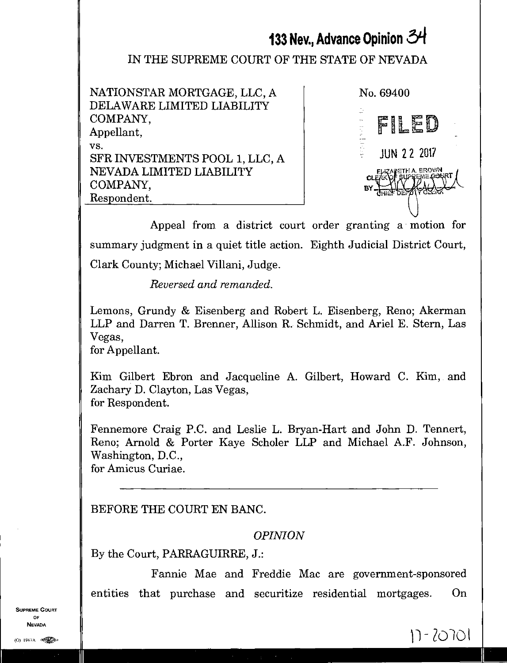# **133 Nev., Advance Opinion 54**

## IN THE SUPREME COURT OF THE STATE OF NEVADA

NATIONSTAR MORTGAGE, LLC, A DELAWARE LIMITED LIABILITY COMPANY, Appellant, vs. SFR INVESTMENTS POOL 1, LLC, A NEVADA LIMITED LIABILITY COMPANY, Respondent.

JUN 2 2 2017 EKAPETH A. BROWN . CHERE WE LEE No. 69400 FILED

 $17 - 20701$ 

Appeal from a district court order granting a motion for summary judgment in a quiet title action. Eighth Judicial District Court, Clark County; Michael Villani, Judge.

*Reversed and remanded.* 

Lemons, Grundy & Eisenberg and Robert L. Eisenberg, Reno; Akerman LLP and Darren T. Brenner, Allison R. Schmidt, and Ariel E. Stern, Las Vegas,

for Appellant.

Kim Gilbert Ebron and Jacqueline A. Gilbert, Howard C. Kim, and Zachary D. Clayton, Las Vegas, for Respondent.

Fennemore Craig P.C. and Leslie L. Bryan-Hart and John D. Tennert, Reno; Arnold & Porter Kaye Scholer LLP and Michael A.F. Johnson, Washington, D.C., for Amicus Curiae.

BEFORE THE COURT EN BANC.

OPINION

By the Court, PARRAGUIRRE, J.:

Fannie Mae and Freddie Mac are government-sponsored entities that purchase and securitize residential mortgages. On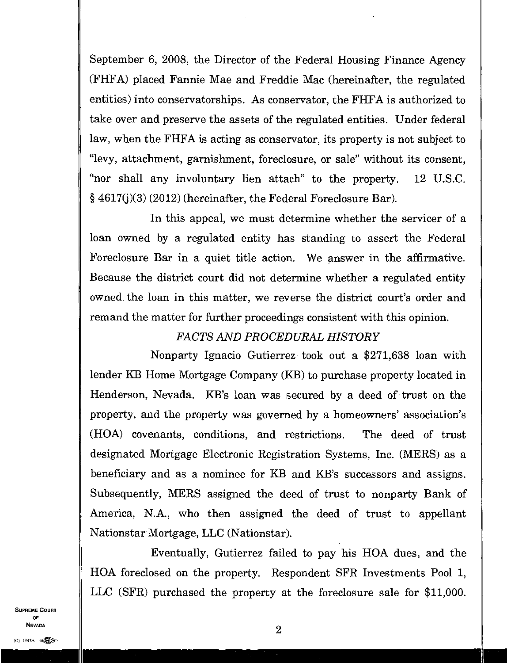September 6, 2008, the Director of the Federal Housing Finance Agency (FHFA) placed Fannie Mae and Freddie Mac (hereinafter, the regulated entities) into conservatorships. As conservator, the FHFA is authorized to take over and preserve the assets of the regulated entities. Under federal law, when the FHFA is acting as conservator, its property is not subject to "levy, attachment, garnishment, foreclosure, or sale" without its consent, "nor shall any involuntary lien attach" to the property. 12 U.S.C. § 4617(j)(3) (2012) (hereinafter, the Federal Foreclosure Bar).

In this appeal, we must determine whether the servicer of a loan owned by a regulated entity has standing to assert the Federal Foreclosure Bar in a quiet title action. We answer in the affirmative. Because the district court did not determine whether a regulated entity owned the loan in this matter, we reverse the district court's order and remand the matter for further proceedings consistent with this opinion.

## *FACTS AND PROCEDURAL HISTORY*

Nonparty Ignacio Gutierrez took out a \$271,638 loan with lender KB Home Mortgage Company (KB) to purchase property located in Henderson, Nevada. KB's loan was secured by a deed of trust on the property, and the property was governed by a homeowners' association's (H0A) covenants, conditions, and restrictions. The deed of trust designated Mortgage Electronic Registration Systems, Inc. (MERS) as a beneficiary and as a nominee for KB and KB's successors and assigns. Subsequently, MERS assigned the deed of trust to nonparty Bank of America, N.A., who then assigned the deed of trust to appellant Nationstar Mortgage, LLC (Nationstar).

Eventually, Gutierrez failed to pay his BOA dues, and the HOA foreclosed on the property. Respondent SFR Investments Pool 1, LLC (SFR) purchased the property at the foreclosure sale for \$11,000.

SUPREME COURT OF  $\blacksquare$ **Nevada**<br>(1) 1947a **elle**n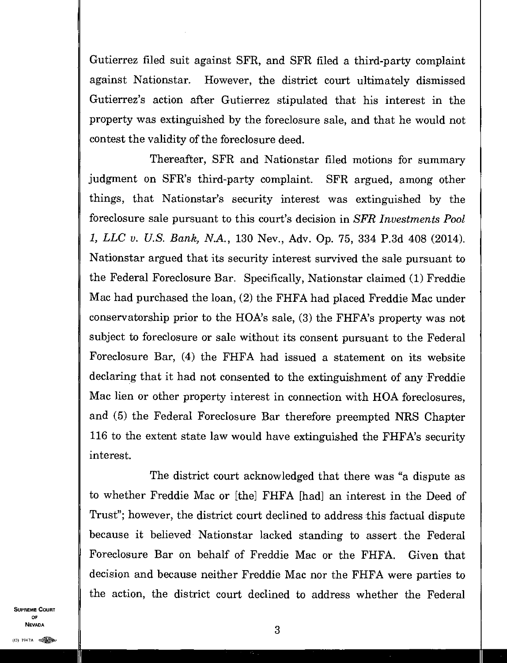Gutierrez filed suit against SFR, and SFR filed a third-party complaint against Nationstar. However, the district court ultimately dismissed Gutierrez's action after Gutierrez stipulated that his interest in the property was extinguished by the foreclosure sale, and that he would not contest the validity of the foreclosure deed.

Thereafter, SFR and Nationstar filed motions for summary judgment on SFR's third-party complaint. SFR argued, among other things, that Nationstar's security interest was extinguished by the foreclosure sale pursuant to this court's decision in *SFR Investments Pool 1, LLC v. U.S. Bank, N.A.,* 130 Nev., Adv. Op. 75, 334 P.3d 408 (2014). Nationstar argued that its security interest survived the sale pursuant to the Federal Foreclosure Bar. Specifically, Nationstar claimed (1) Freddie Mac had purchased the loan, (2) the FHFA had placed Freddie Mac under conservatorship prior to the HOA's sale, (3) the FHFA's property was not subject to foreclosure or sale without its consent pursuant to the Federal Foreclosure Bar, (4) the FHFA had issued a statement on its website declaring that it had not consented to the extinguishment of any Freddie Mac lien or other property interest in connection with HOA foreclosures, and (5) the Federal Foreclosure Bar therefore preempted NRS Chapter 116 to the extent state law would have extinguished the FHFA's security interest.

The district court acknowledged that there was "a dispute as to whether Freddie Mac or [the] FHFA [had] an interest in the Deed of Trust"; however, the district court declined to address this factual dispute because it believed Nationstar lacked standing to assert the Federal Foreclosure Bar on behalf of Freddie Mac or the FHFA. Given that decision and because neither Freddie Mac nor the FHFA were parties to the action, the district court declined to address whether the Federal

SUPREME COURT OF  $\sim$  3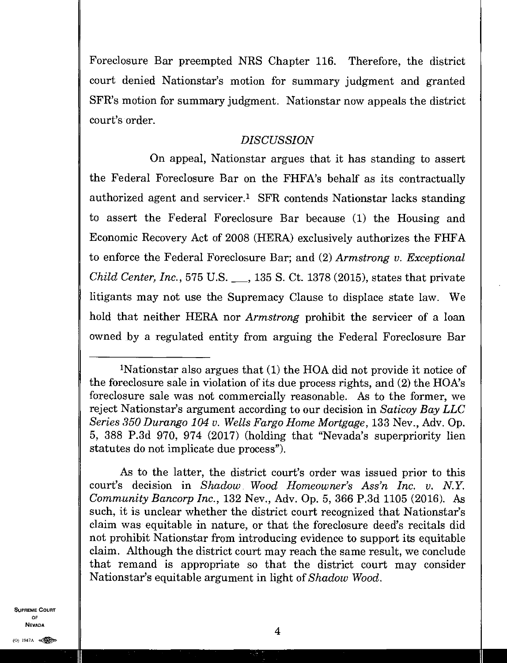Foreclosure Bar preempted NRS Chapter 116. Therefore, the district court denied Nationstar's motion for summary judgment and granted SFR's motion for summary judgment. Nationstar now appeals the district court's order.

#### *DISCUSSION*

On appeal, Nationstar argues that it has standing to assert the Federal Foreclosure Bar on the FHFA's behalf as its contractually authorized agent and servicer.<sup>1</sup> SFR contends Nationstar lacks standing to assert the Federal Foreclosure Bar because (1) the Housing and Economic Recovery Act of 2008 (HERA) exclusively authorizes the FHFA to enforce the Federal Foreclosure Bar; and (2) *Armstrong v. Exceptional Child Center, Inc.,* 575 U.S. 135 S. Ct. 1378 (2015), states that private litigants may not use the Supremacy Clause to displace state law. We hold that neither HERA nor *Armstrong* prohibit the servicer of a loan owned by a regulated entity from arguing the Federal Foreclosure Bar

As to the latter, the district court's order was issued prior to this court's decision in *Shadow Wood Homeowner's Ass'n Inc. v. N.Y. Community Bancorp Inc.,* 132 Nev., Adv. Op. 5, 366 P.3d 1105 (2016). As such, it is unclear whether the district court recognized that Nationstar's claim was• equitable in nature, or that the foreclosure deed's recitals did not prohibit Nationstar from introducing evidence to support its equitable claim. Although the district court may reach the same result, we conclude that remand is appropriate so that the district court may consider Nationstar's equitable argument in light of *Shadow Wood.* 

<sup>1</sup>Nationstar also argues that (1) the HOA did not provide it notice of the foreclosure sale in violation of its due process rights, and (2) the HOA's foreclosure sale was not commercially reasonable. As to the former, we reject Nationstar's argument according to our decision in *Saticoy Bay LLC Series 350 Durango 104 v. Wells Fargo Home Mortgage,* 133 Nev., Adv. Op. 5, 388 P.3d 970, 974 (2017) (holding that "Nevada's superpriority lien statutes do not implicate due process").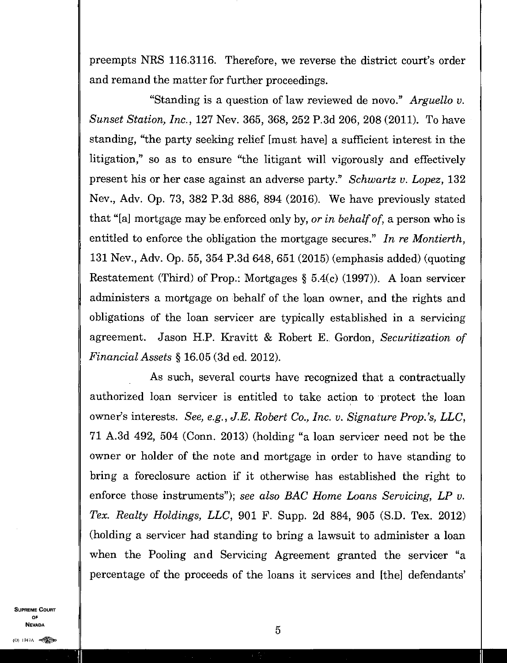preempts NRS 116.3116. Therefore, we reverse the district court's order and remand the matter for further proceedings.

"Standing is a question of law reviewed de novo." *Arguello v. Sunset Station, Inc.,* 127 Nev. 365, 368, 252 P.3d 206, 208 (2011). To have standing, "the party seeking relief [must have] a sufficient interest in the litigation," so as to ensure "the litigant will vigorously and effectively present his or her case against an adverse party." *Schwartz v. Lopez,* 132 Nev., Adv. Op. 73, 382 P.3d 886, 894 (2016). We have previously stated that "[a] mortgage may be enforced only by, *or in behalf of,* a person who is entitled to enforce the obligation the mortgage secures." *In re Montierth,*  131 Nev., Adv. Op. 55, 354 P.3d 648, 651 (2015) (emphasis added) (quoting Restatement (Third) of Prop.: Mortgages § 5.4(c) (1997)). A loan servicer administers a mortgage on behalf of the loan owner, and the rights and obligations of the loan servicer are typically established in a servicing agreement. Jason H.P. Kravitt & Robert E. Gordon, *Securitization of Financial Assets §* 16.05 (3d ed. 2012).

As such, several courts have recognized that a contractually authorized loan servicer is entitled to take action to protect the loan owner's interests. *See, e.g., J.E. Robert Co., Inc. v. Signature Prop.'s, LLC,*  71 A.3d 492, 504 (Conn. 2013) (holding "a loan servicer need not be the owner or holder of the note and mortgage in order to have standing to bring a foreclosure action if it otherwise has established the right to enforce those instruments"); *see also BAG Home Loans Servicing, LP v. Tex. Realty Holdings, LLC,* 901 F. Supp. 2d 884, 905 (S.D. Tex. 2012) (holding a servicer had standing to bring a lawsuit to administer a loan when the Pooling and Servicing Agreement granted the servicer "a percentage of the proceeds of the loans it services and [the] defendants'

SUPREME COURT OF  $\sim$  5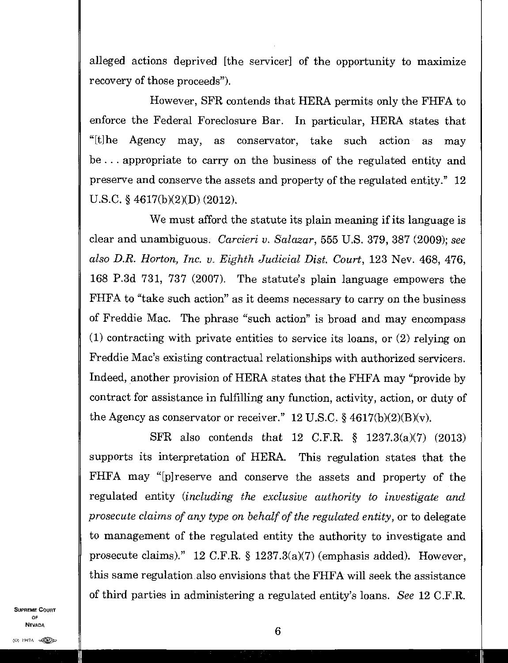alleged actions deprived [the servicer] of the opportunity to maximize recovery of those proceeds").

However, SFR contends that HERA permits only the FHFA to enforce the Federal Foreclosure Bar. In particular, HERA states that "[t]he Agency may, as conservator, take such action as may be . . . appropriate to carry on the business of the regulated entity and preserve and conserve the assets and property of the regulated entity." 12 U.S.C. § 4617(b)(2)(D) (2012).

We must afford the statute its plain meaning if its language is clear and unambiguous. *Carcieri v. Salazar,* 555 U.S. 379, 387 (2009); *see also D.R. Horton, Inc. IL Eighth Judicial Dist. Court,* 123 Nev. 468, 476, 168 P.3d 731, 737 (2007). The statute's plain language empowers the FHFA to "take such action" as it deems necessary to carry on the business of Freddie Mac. The phrase "such action" is broad and may encompass (1) contracting with private entities to service its loans, or (2) relying on Freddie Mac's existing contractual relationships with authorized servicers. Indeed, another provision of HERA states that the FHFA may "provide by contract for assistance in fulfilling any function, activity, action, or duty of the Agency as conservator or receiver." 12 U.S.C.  $\S$  4617(b)(2)(B)(v).

SFR also contends that 12 C.F.R. § 1237.3(a)(7) (2013) supports its interpretation of HERA. This regulation states that the FHFA may "[p]reserve and conserve the assets and property of the regulated entity *(including the exclusive authority to investigate and prosecute claims of any type on behalf of the regulated entity, or to delegate* to management of the regulated entity the authority to investigate and prosecute claims)." 12 C.F.R. § 1237.3(a)(7) (emphasis added). However, this same regulation also envisions that the FHFA will seek the assistance of third parties in administering a regulated entity's loans. *See* 12 C.F.R.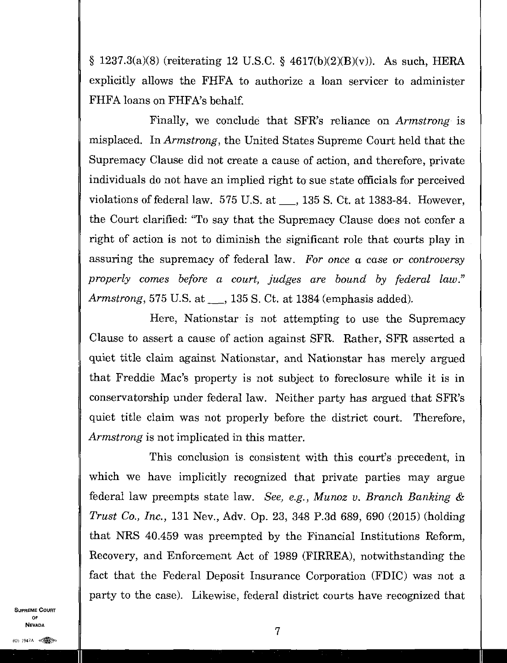$§ 1237.3(a)(8)$  (reiterating 12 U.S.C. § 4617(b)(2)(B)(v)). As such, HERA explicitly allows the FHFA to authorize a loan servicer to administer FHFA loans on FHFA's behalf

Finally, we conclude that SFR's reliance on *Armstrong* is misplaced. In *Armstrong,* the United States Supreme Court held that the Supremacy Clause did not create a cause of action, and therefore, private individuals do not have an implied right to sue state officials for perceived violations of federal law.  $575$  U.S. at  $\_\_$ , 135 S. Ct. at 1383-84. However, the Court clarified: "To say that the Supremacy Clause does not confer a right of action is not to diminish the significant role that courts play in assuring the supremacy of federal law. *For once* a case or *controversy properly comes before a court, judges are bound by federal law." Armstrong*, 575 U.S. at <sub>1135</sub> S. Ct. at 1384 (emphasis added).

Here, Nationstar is not attempting to use the Supremacy Clause to assert a cause of action against SFR. Rather, SFR asserted a quiet title claim against Nationstar, and Nationstar has merely argued that Freddie Mac's property is not subject to foreclosure while it is in conservatorship under federal law. Neither party has argued that SFR's quiet title claim was not properly before the district court. Therefore, *Armstrong* is not implicated in this matter.

This conclusion is consistent with this court's precedent, in which we have implicitly recognized that private parties may argue federal law preempts state law. *See, e.g., Munoz v. Branch Banking & Trust Co., Inc.,* 131 Nev., Adv. Op. 23, 348 P.3d 689, 690 (2015) (holding that NRS 40.459 was preempted by the Financial Institutions Reform, Recovery, and Enforcement Act of 1989 (FIRREA), notwithstanding the fact that the Federal Deposit Insurance Corporation (FDIC) was not a party to the case). Likewise, federal district courts have recognized that

SUPREME COURT OF NEVADA

7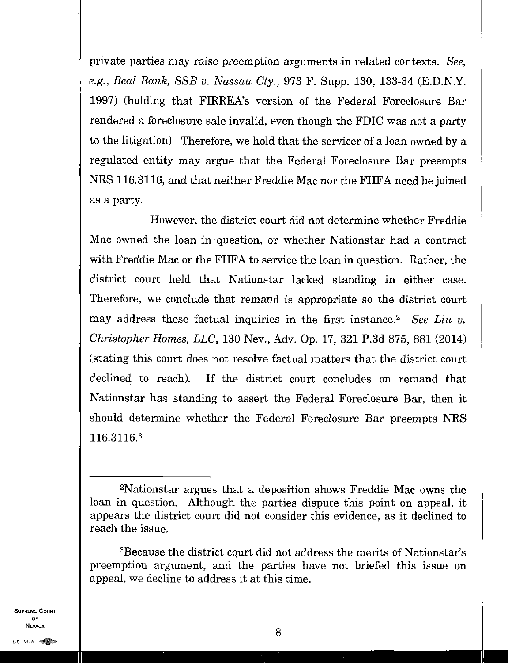private parties may raise preemption arguments in related contexts. *See, e.g., Beal Bank, SSB v. Nassau Cty.,* 973 F. Supp. 130, 133-34 (E.D.N.Y. 1997) (holding that FIRREA's version of the Federal Foreclosure Bar rendered a foreclosure sale invalid, even though the FDIC was not a party to the litigation). Therefore, we hold that the servicer of a loan owned by a regulated entity may argue that the Federal Foreclosure Bar preempts NRS 116.3116, and that neither Freddie Mac nor the FHFA need be joined as a party.

However, the district court did not determine whether Freddie Mac owned the loan in question, or whether Nationstar had a contract with Freddie Mac or the FHFA to service the loan in question. Rather, the district court held that Nationstar lacked standing in either case. Therefore, we conclude that remand is appropriate so the district court may address these factual inquiries in the first instance.<sup>2</sup> See Liu v. *Christopher Homes, LLC,* 130 Nev., Adv. Op. 17, 321 P.3d 875, 881 (2014) (stating this court does not resolve factual matters that the district court declined to reach). If the district court concludes on remand that Nationstar has standing to assert the Federal Foreclosure Bar, then it should determine whether the Federal Foreclosure Bar preempts NRS 116.3116. <sup>3</sup>

<sup>3</sup>Because the district court did not address the merits of Nationstar's preemption argument, and the parties have not briefed this issue on appeal, we decline to address it at this time.

<sup>2</sup>Nationstar argues that a deposition shows Freddie Mac owns the loan in question. Although the parties dispute this point on appeal, it appears the district court did not consider this evidence, as it declined to reach the issue.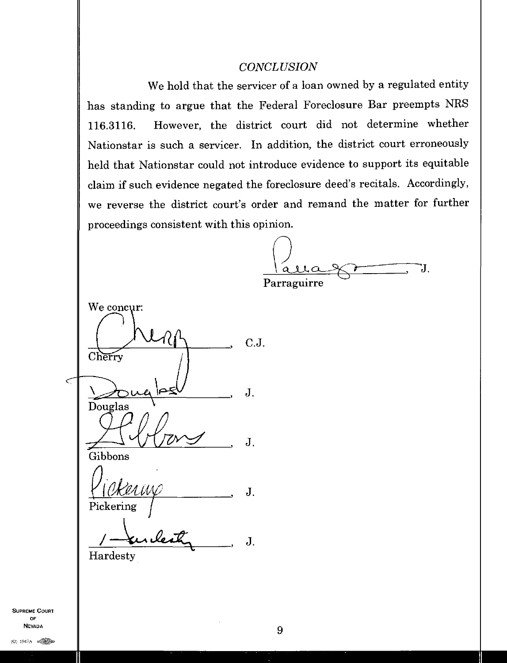#### *CONCLUSION*

We hold that the servicer of a loan owned by a regulated entity has standing to argue that the Federal Foreclosure Bar preempts NRS 116.3116. However, the district court did not determine whether Nationstar is such a servicer. In addition, the district court erroneously held that Nationstar could not introduce evidence to support its equitable claim if such evidence negated the foreclosure deed's recitals. Accordingly, we reverse the district court's order and remand the matter for further proceedings consistent with this opinion.

IJ. Parraguirre

We concur: 1?  $C.J.$ Cherry  $\lt$ J. Douglas  $\mathbf{J}$ . Gibbons J. Pickering  $J<sub>z</sub>$ Hardesty

SUPREME COURT OF  $\overline{9}$ **NEVADA**<br>(0) 1947A **e**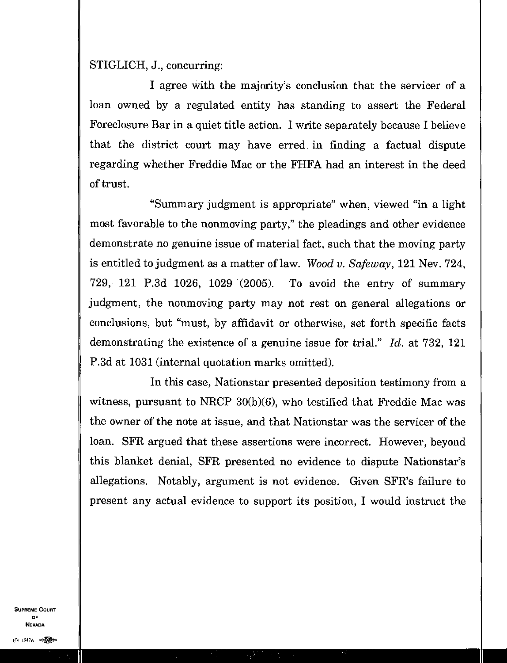### STIGLICH, J., concurring:

I agree with the majority's conclusion that the servicer of a loan owned by a regulated entity has standing to assert the Federal Foreclosure Bar in a quiet title action. I write separately because I believe that the district court may have erred in finding a factual dispute regarding whether Freddie Mac or the FHFA had an interest in the deed of trust.

"Summary judgment is appropriate" when, viewed "in a light most favorable to the nonmoving party," the pleadings and other evidence demonstrate no genuine issue of material fact, such that the moving party is entitled to judgment as a matter of law. *Wood v. Safeway,* 121 Nev. 724, 729, 121 P.3d 1026, 1029 (2005). To avoid the entry of summary judgment, the nonmoving party may not rest on general allegations or conclusions, but "must, by affidavit or otherwise, set forth specific facts demonstrating the existence of a genuine issue for trial." *Id.* at 732, 121 P.3d at 1031 (internal quotation marks omitted).

In this case, Nationstar presented deposition testimony from a witness, pursuant to NRCP 30(b)(6), who testified that Freddie Mac was the owner of the note at issue, and that Nationstar was the servicer of the loan. SFR argued that these assertions were incorrect. However, beyond this blanket denial, SFR presented no evidence to dispute Nationstar's allegations. Notably, argument is not evidence. Given SFR's failure to present any actual evidence to support its position, I would instruct the